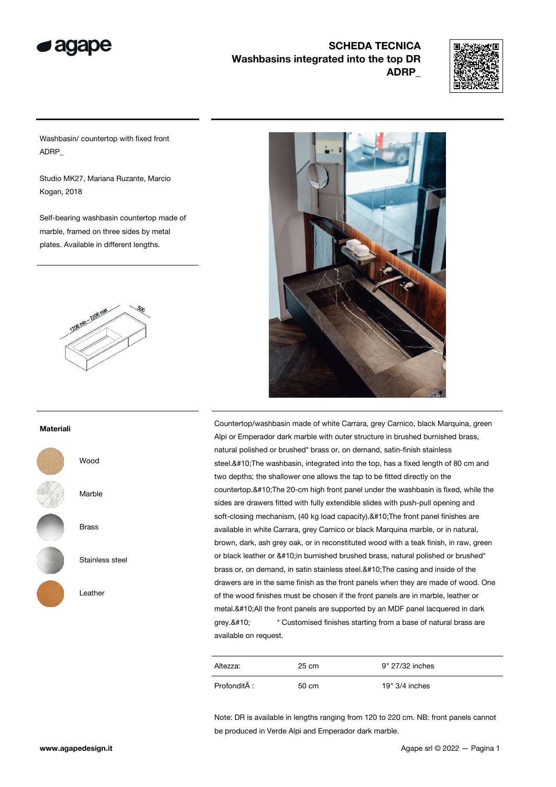



Washbasin/ countertop with fixed front ADRP\_

Studio MK27, Mariana Ruzante, Marcio Kogan, 2018

Self-bearing washbasin countertop made of marble, framed on three sides by metal plates. Available in different lengths.



#### Materiali



**Wood** 

Marble

Brass

Stainless steel

Leather



Countertop/washbasin made of white Carrara, grey Carnico, black Marquina, green Alpi or Emperador dark marble with outer structure in brushed burnished brass, natural polished or brushed\* brass or, on demand, satin-finish stainless steel.
 The washbasin, integrated into the top, has a fixed length of 80 cm and two depths; the shallower one allows the tap to be fitted directly on the countertop.
The 20-cm high front panel under the washbasin is fixed, while the sides are drawers fitted with fully extendible slides with push-pull opening and soft-closing mechanism, (40 kg load capacity).
The front panel finishes are available in white Carrara, grey Carnico or black Marquina marble, or in natural, brown, dark, ash grey oak, or in reconstituted wood with a teak finish, in raw, green or black leather or 
in burnished brushed brass, natural polished or brushed\* brass or, on demand, in satin stainless steel.
The casing and inside of the drawers are in the same finish as the front panels when they are made of wood. One of the wood finishes must be chosen if the front panels are in marble, leather or metal.
All the front panels are supported by an MDF panel lacquered in dark grey.
 \* Customised finishes starting from a base of natural brass are available on request.

| Altezza:     | 25 cm | 9" 27/32 inches  |
|--------------|-------|------------------|
| Profondità : | 50 cm | $19" 3/4$ inches |

Note: DR is available in lengths ranging from 120 to 220 cm. NB: front panels cannot be produced in Verde Alpi and Emperador dark marble.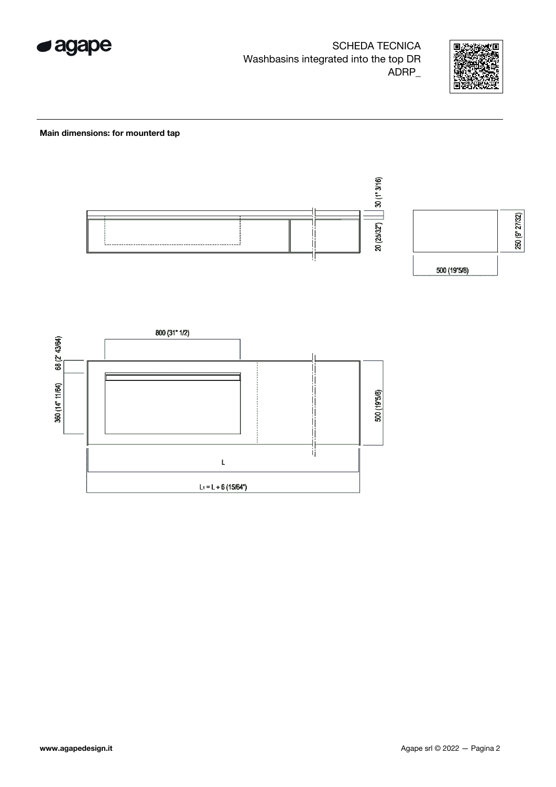



#### Main dimensions: for mounterd tap



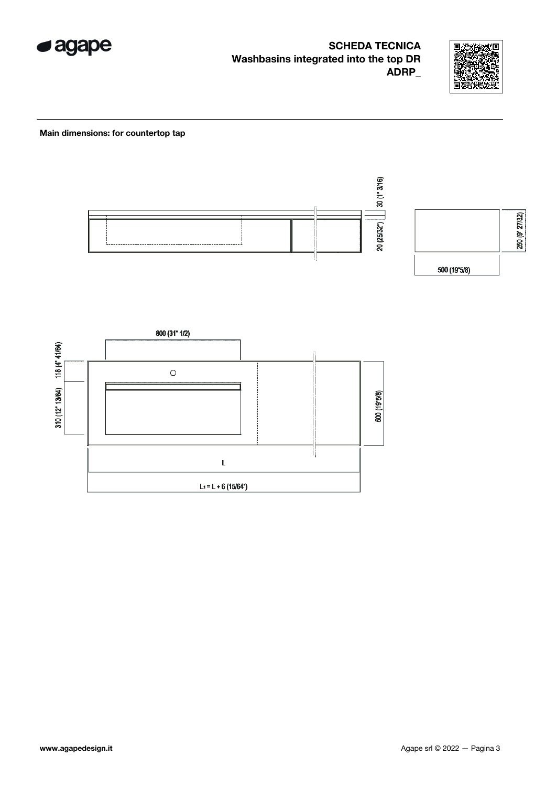



#### Main dimensions: for countertop tap



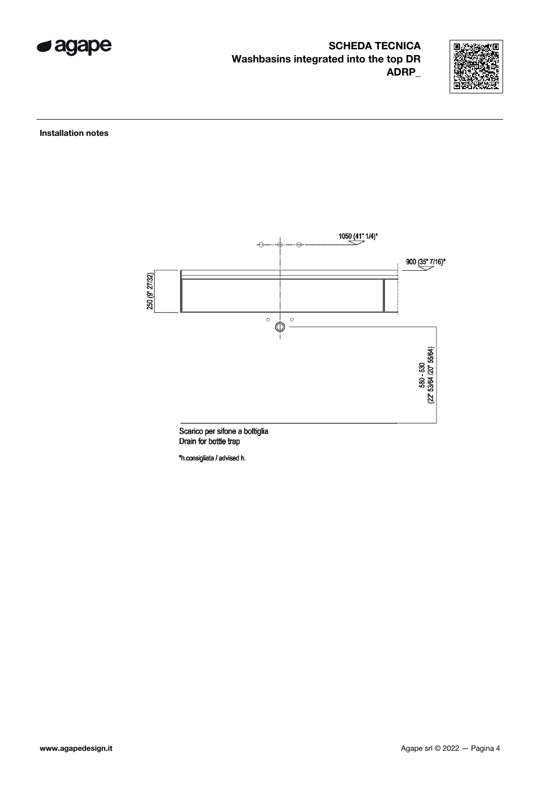



Installation notes



Scarico per sifone a bottiglia Drain for bottle trap

\*h.consigliata / advised h.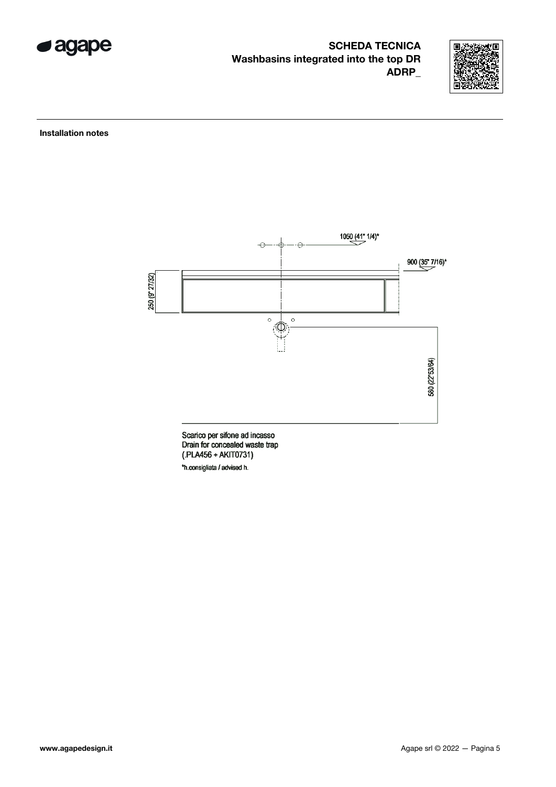



Installation notes



Scarico per sifone ad incasso<br>Drain for concealed waste trap (.PLA456 + AKIT0731) \*h.consigliata / advised h.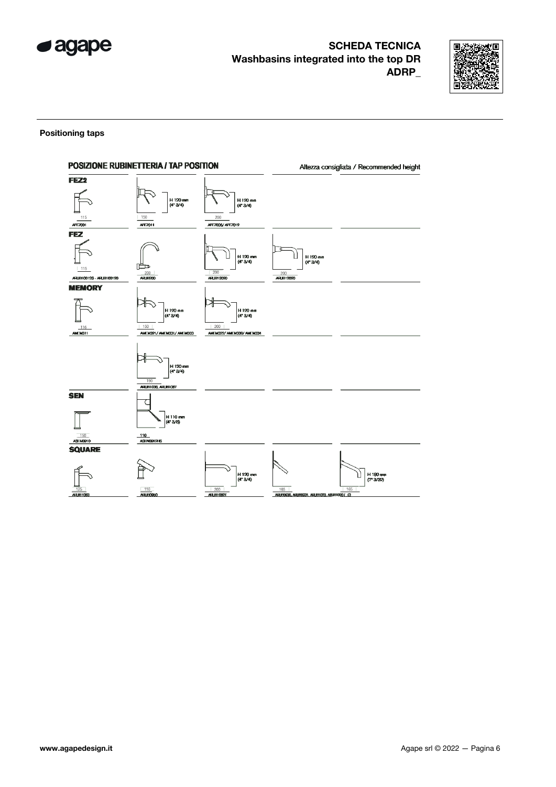



#### Positioning taps